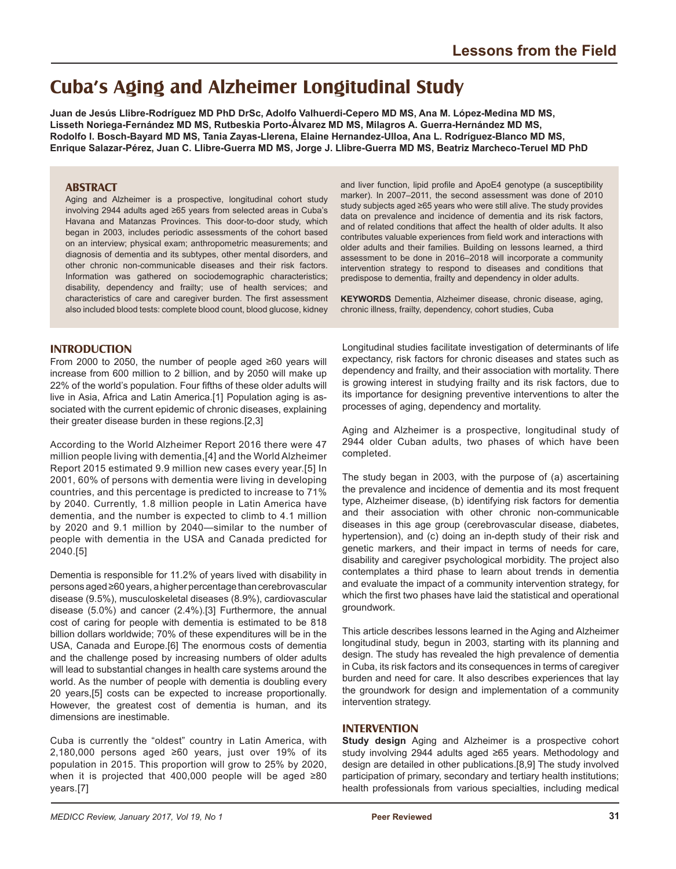# **Cuba's Aging and Alzheimer Longitudinal Study**

**Juan de Jesús Llibre-Rodríguez MD PhD DrSc, Adolfo Valhuerdi-Cepero MD MS, Ana M. López-Medina MD MS, Lisseth Noriega-Fernández MD MS, Rutbeskia Porto-Álvarez MD MS, Milagros A. Guerra-Hernández MD MS, Rodolfo I. Bosch-Bayard MD MS, Tania Zayas-Llerena, Elaine Hernandez-Ulloa, Ana L. Rodríguez-Blanco MD MS, Enrique Salazar-Pérez, Juan C. Llibre-Guerra MD MS, Jorge J. Llibre-Guerra MD MS, Beatriz Marcheco-Teruel MD PhD**

### **ABSTRACT**

Aging and Alzheimer is a prospective, longitudinal cohort study involving 2944 adults aged ≥65 years from selected areas in Cuba's Havana and Matanzas Provinces. This door-to-door study, which began in 2003, includes periodic assessments of the cohort based on an interview; physical exam; anthropometric measurements; and diagnosis of dementia and its subtypes, other mental disorders, and other chronic non-communicable diseases and their risk factors. Information was gathered on sociodemographic characteristics; disability, dependency and frailty; use of health services; and characteristics of care and caregiver burden. The first assessment also included blood tests: complete blood count, blood glucose, kidney

and liver function, lipid profile and ApoE4 genotype (a susceptibility marker). In 2007–2011, the second assessment was done of 2010 study subjects aged ≥65 years who were still alive. The study provides data on prevalence and incidence of dementia and its risk factors, and of related conditions that affect the health of older adults. It also contributes valuable experiences from field work and interactions with older adults and their families. Building on lessons learned, a third assessment to be done in 2016–2018 will incorporate a community intervention strategy to respond to diseases and conditions that predispose to dementia, frailty and dependency in older adults.

**KEYWORDS** Dementia, Alzheimer disease, chronic disease, aging, chronic illness, frailty, dependency, cohort studies, Cuba

### **INTRODUCTION**

From 2000 to 2050, the number of people aged ≥60 years will increase from 600 million to 2 billion, and by 2050 will make up 22% of the world's population. Four fifths of these older adults will live in Asia, Africa and Latin America.[1] Population aging is associated with the current epidemic of chronic diseases, explaining their greater disease burden in these regions.[2,3]

According to the World Alzheimer Report 2016 there were 47 million people living with dementia,[4] and the World Alzheimer Report 2015 estimated 9.9 million new cases every year.[5] In 2001, 60% of persons with dementia were living in developing countries, and this percentage is predicted to increase to 71% by 2040. Currently, 1.8 million people in Latin America have dementia, and the number is expected to climb to 4.1 million by 2020 and 9.1 million by 2040—similar to the number of people with dementia in the USA and Canada predicted for 2040.[5]

Dementia is responsible for 11.2% of years lived with disability in persons aged ≥60 years, a higher percentage than cerebrovascular disease (9.5%), musculoskeletal diseases (8.9%), cardiovascular disease (5.0%) and cancer (2.4%).[3] Furthermore, the annual cost of caring for people with dementia is estimated to be 818 billion dollars worldwide; 70% of these expenditures will be in the USA, Canada and Europe.[6] The enormous costs of dementia and the challenge posed by increasing numbers of older adults will lead to substantial changes in health care systems around the world. As the number of people with dementia is doubling every 20 years,[5] costs can be expected to increase proportionally. However, the greatest cost of dementia is human, and its dimensions are inestimable.

Cuba is currently the "oldest" country in Latin America, with 2,180,000 persons aged ≥60 years, just over 19% of its population in 2015. This proportion will grow to 25% by 2020, when it is projected that 400,000 people will be aged ≥80 years.[7]

Longitudinal studies facilitate investigation of determinants of life expectancy, risk factors for chronic diseases and states such as dependency and frailty, and their association with mortality. There is growing interest in studying frailty and its risk factors, due to its importance for designing preventive interventions to alter the processes of aging, dependency and mortality.

Aging and Alzheimer is a prospective, longitudinal study of 2944 older Cuban adults, two phases of which have been completed.

The study began in 2003, with the purpose of (a) ascertaining the prevalence and incidence of dementia and its most frequent type, Alzheimer disease, (b) identifying risk factors for dementia and their association with other chronic non-communicable diseases in this age group (cerebrovascular disease, diabetes, hypertension), and (c) doing an in-depth study of their risk and genetic markers, and their impact in terms of needs for care, disability and caregiver psychological morbidity. The project also contemplates a third phase to learn about trends in dementia and evaluate the impact of a community intervention strategy, for which the first two phases have laid the statistical and operational groundwork.

This article describes lessons learned in the Aging and Alzheimer longitudinal study, begun in 2003, starting with its planning and design. The study has revealed the high prevalence of dementia in Cuba, its risk factors and its consequences in terms of caregiver burden and need for care. It also describes experiences that lay the groundwork for design and implementation of a community intervention strategy.

### **INTERVENTION**

**Study design** Aging and Alzheimer is a prospective cohort study involving 2944 adults aged ≥65 years. Methodology and design are detailed in other publications.[8,9] The study involved participation of primary, secondary and tertiary health institutions; health professionals from various specialties, including medical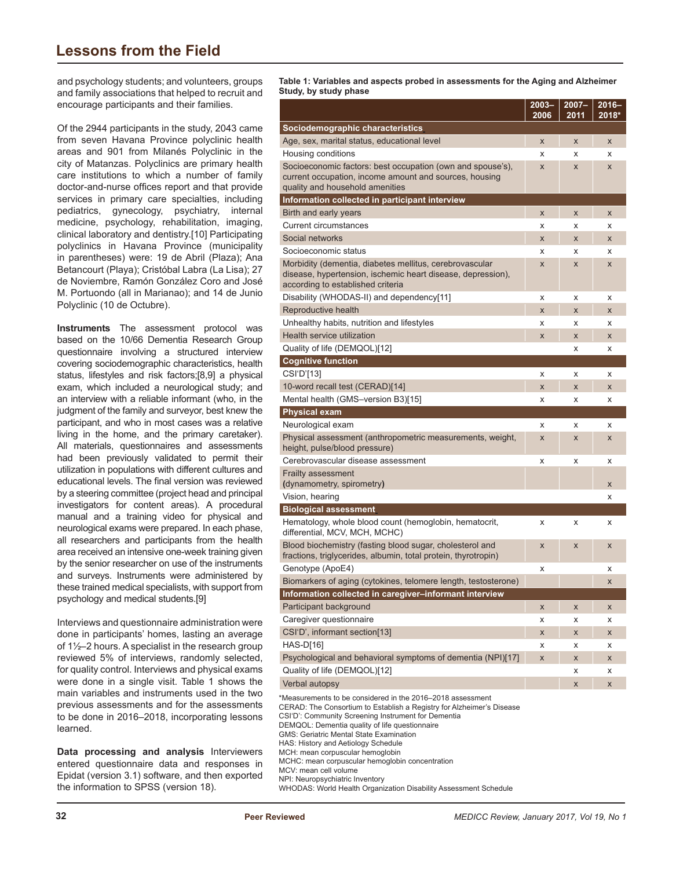## **Lessons from the Field**

and psychology students; and volunteers, groups and family associations that helped to recruit and encourage participants and their families.

Of the 2944 participants in the study, 2043 came from seven Havana Province polyclinic health areas and 901 from Milanés Polyclinic in the city of Matanzas. Polyclinics are primary health care institutions to which a number of family doctor-and-nurse offices report and that provide services in primary care specialties, including pediatrics, gynecology, psychiatry, internal medicine, psychology, rehabilitation, imaging, clinical laboratory and dentistry.[10] Participating polyclinics in Havana Province (municipality in parentheses) were: 19 de Abril (Plaza); Ana Betancourt (Playa); Cristóbal Labra (La Lisa); 27 de Noviembre, Ramón González Coro and José M. Portuondo (all in Marianao); and 14 de Junio Polyclinic (10 de Octubre).

**Instruments** The assessment protocol was based on the 10/66 Dementia Research Group questionnaire involving a structured interview covering sociodemographic characteristics, health status, lifestyles and risk factors;[8,9] a physical exam, which included a neurological study; and an interview with a reliable informant (who, in the judgment of the family and surveyor, best knew the participant, and who in most cases was a relative living in the home, and the primary caretaker). All materials, questionnaires and assessments had been previously validated to permit their utilization in populations with different cultures and educational levels. The final version was reviewed by a steering committee (project head and principal investigators for content areas). A procedural manual and a training video for physical and neurological exams were prepared. In each phase, all researchers and participants from the health area received an intensive one-week training given by the senior researcher on use of the instruments and surveys. Instruments were administered by these trained medical specialists, with support from psychology and medical students.[9]

Interviews and questionnaire administration were done in participants' homes, lasting an average of 1½–2 hours. A specialist in the research group reviewed 5% of interviews, randomly selected, for quality control. Interviews and physical exams were done in a single visit. Table 1 shows the main variables and instruments used in the two previous assessments and for the assessments to be done in 2016–2018, incorporating lessons learned.

**Data processing and analysis** Interviewers entered questionnaire data and responses in Epidat (version 3.1) software, and then exported the information to SPSS (version 18).

E Añé **Table 1: Variables and aspects probed in assessments for the Aging and Alzheimer Study, by study phase** 

| ., כי                                                                                                                      | $2003 -$<br>2006 | $2007 -$<br>2011 | $2016 -$<br>2018* |
|----------------------------------------------------------------------------------------------------------------------------|------------------|------------------|-------------------|
| Sociodemographic characteristics                                                                                           |                  |                  |                   |
| Age, sex, marital status, educational level                                                                                | $\mathsf{x}$     | X                | X                 |
| Housing conditions                                                                                                         | X                | x                | x                 |
| Socioeconomic factors: best occupation (own and spouse's),                                                                 | X                | X                | $\mathsf{x}$      |
| current occupation, income amount and sources, housing                                                                     |                  |                  |                   |
| quality and household amenities                                                                                            |                  |                  |                   |
| Information collected in participant interview                                                                             |                  |                  |                   |
| Birth and early years                                                                                                      | X                | X                | $\mathsf{x}$      |
| Current circumstances                                                                                                      | x                | x                | x                 |
| Social networks                                                                                                            | X                | X                | X                 |
| Socioeconomic status                                                                                                       | x                | x                | x                 |
| Morbidity (dementia, diabetes mellitus, cerebrovascular<br>disease, hypertension, ischemic heart disease, depression),     | X                | $\mathsf{x}$     | X                 |
| according to established criteria                                                                                          |                  |                  |                   |
| Disability (WHODAS-II) and dependency[11]                                                                                  | x                | x                | x                 |
| Reproductive health                                                                                                        | X                | $\mathsf{x}$     | X                 |
| Unhealthy habits, nutrition and lifestyles                                                                                 | x                | x                | x                 |
| Health service utilization                                                                                                 | $\mathsf{x}$     | X                | X                 |
| Quality of life (DEMQOL)[12]                                                                                               |                  | x                | x                 |
| <b>Cognitive function</b>                                                                                                  |                  |                  |                   |
| CSI'D'[13]                                                                                                                 | x                | x                | x                 |
| 10-word recall test (CERAD)[14]                                                                                            | X                | $\mathsf{x}$     | $\mathsf{x}$      |
| Mental health (GMS-version B3)[15]                                                                                         | x                | x                | x                 |
| <b>Physical exam</b>                                                                                                       |                  |                  |                   |
| Neurological exam                                                                                                          | x                | x                | x                 |
| Physical assessment (anthropometric measurements, weight,                                                                  | X                | X                | X                 |
| height, pulse/blood pressure)                                                                                              |                  |                  |                   |
| Cerebrovascular disease assessment                                                                                         | x                | x                | x                 |
| <b>Frailty assessment</b>                                                                                                  |                  |                  |                   |
| (dynamometry, spirometry)                                                                                                  |                  |                  | X                 |
| Vision, hearing                                                                                                            |                  |                  | x                 |
| <b>Biological assessment</b>                                                                                               |                  |                  |                   |
| Hematology, whole blood count (hemoglobin, hematocrit,<br>differential, MCV, MCH, MCHC)                                    | x                | x                | x                 |
| Blood biochemistry (fasting blood sugar, cholesterol and<br>fractions, triglycerides, albumin, total protein, thyrotropin) | X                | X                | X                 |
| Genotype (ApoE4)                                                                                                           | x                |                  | x                 |
| Biomarkers of aging (cytokines, telomere length, testosterone)                                                             |                  |                  | X                 |
| Information collected in caregiver-informant interview                                                                     |                  |                  |                   |
| Participant background                                                                                                     | X                | X                | X                 |
| Caregiver questionnaire                                                                                                    | x                | x                | x                 |
| CSI'D', informant section[13]                                                                                              | X                | X                | X                 |
| HAS-D[16]                                                                                                                  | x                | x                | x                 |
| Psychological and behavioral symptoms of dementia (NPI)[17]                                                                | X                | X                | X                 |
| Quality of life (DEMQOL)[12]                                                                                               |                  | x                | x                 |
| Verbal autopsy                                                                                                             |                  | X                | X                 |
| *Measurements to be considered in the 2016–2018 assessment                                                                 |                  |                  |                   |
| CERAD: The Consortium to Establish a Registry for Alzheimer's Disease                                                      |                  |                  |                   |

CERAD: The Consortium to Establish a Registry for Alzheimer's Disease CSI'D': Community Screening Instrument for Dementia DEMQOL: Dementia quality of life questionnaire GMS: Geriatric Mental State Examination HAS: History and Aetiology Schedule MCH: mean corpuscular hemoglobin MCHC: mean corpuscular hemoglobin concentration MCV: mean cell volume NPI: Neuropsychiatric Inventory WHODAS: World Health Organization Disability Assessment Schedule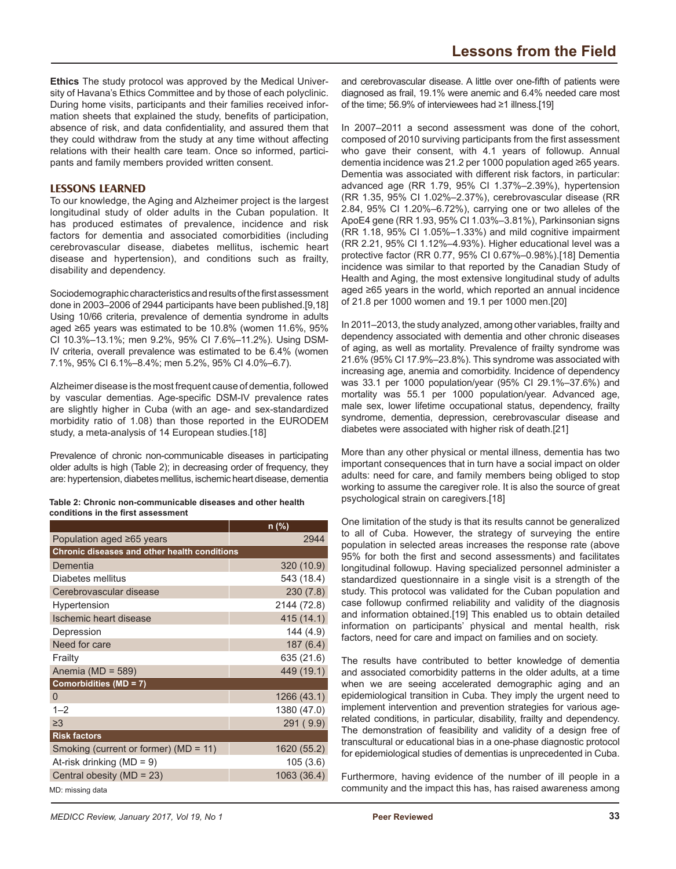**Ethics** The study protocol was approved by the Medical University of Havana's Ethics Committee and by those of each polyclinic. During home visits, participants and their families received information sheets that explained the study, benefits of participation, absence of risk, and data confidentiality, and assured them that they could withdraw from the study at any time without affecting relations with their health care team. Once so informed, participants and family members provided written consent.

### **LESSONS LEARNED**

To our knowledge, the Aging and Alzheimer project is the largest longitudinal study of older adults in the Cuban population. It has produced estimates of prevalence, incidence and risk factors for dementia and associated comorbidities (including cerebrovascular disease, diabetes mellitus, ischemic heart disease and hypertension), and conditions such as frailty, disability and dependency.

Sociodemographic characteristics and results of the first assessment done in 2003–2006 of 2944 participants have been published.[9,18] Using 10/66 criteria, prevalence of dementia syndrome in adults aged ≥65 years was estimated to be 10.8% (women 11.6%, 95% CI 10.3%–13.1%; men 9.2%, 95% CI 7.6%–11.2%). Using DSM-IV criteria, overall prevalence was estimated to be 6.4% (women 7.1%, 95% CI 6.1%–8.4%; men 5.2%, 95% CI 4.0%–6.7).

Alzheimer disease is the most frequent cause of dementia, followed by vascular dementias. Age-specific DSM-IV prevalence rates are slightly higher in Cuba (with an age- and sex-standardized morbidity ratio of 1.08) than those reported in the EURODEM study, a meta-analysis of 14 European studies.[18]

Prevalence of chronic non-communicable diseases in participating older adults is high (Table 2); in decreasing order of frequency, they are: hypertension, diabetes mellitus, ischemic heart disease, dementia

| Table 2: Chronic non-communicable diseases and other health |  |
|-------------------------------------------------------------|--|
| conditions in the first assessment                          |  |

|                                              | n (%)       |  |  |  |
|----------------------------------------------|-------------|--|--|--|
| Population aged ≥65 years                    | 2944        |  |  |  |
| Chronic diseases and other health conditions |             |  |  |  |
| Dementia                                     | 320 (10.9)  |  |  |  |
| Diabetes mellitus                            | 543 (18.4)  |  |  |  |
| Cerebrovascular disease                      | 230(7.8)    |  |  |  |
| Hypertension                                 | 2144 (72.8) |  |  |  |
| Ischemic heart disease                       | 415(14.1)   |  |  |  |
| Depression                                   | 144 (4.9)   |  |  |  |
| Need for care                                | 187(6.4)    |  |  |  |
| Frailty                                      | 635 (21.6)  |  |  |  |
| Anemia ( $MD = 589$ )                        | 449 (19.1)  |  |  |  |
| Comorbidities (MD = 7)                       |             |  |  |  |
| 0                                            | 1266 (43.1) |  |  |  |
| $1 - 2$                                      | 1380 (47.0) |  |  |  |
| $\geq$ 3                                     | 291 (9.9)   |  |  |  |
| <b>Risk factors</b>                          |             |  |  |  |
| Smoking (current or former) ( $MD = 11$ )    | 1620 (55.2) |  |  |  |
| At-risk drinking ( $MD = 9$ )                | 105(3.6)    |  |  |  |
| Central obesity (MD = 23)                    | 1063 (36.4) |  |  |  |
| MD: missing data                             |             |  |  |  |

and cerebrovascular disease. A little over one-filter or patients were<br>diagnosed as frail, 19.1% were anemic and 6.4% needed care most and cerebrovascular disease. A little over one-fifth of patients were of the time; 56.9% of interviewees had ≥1 illness.[19]

In 2007–2011 a second assessment was done of the cohort, composed of 2010 surviving participants from the first assessment who gave their consent, with 4.1 years of followup. Annual dementia incidence was 21.2 per 1000 population aged ≥65 years. Dementia was associated with different risk factors, in particular: advanced age (RR 1.79, 95% CI 1.37%–2.39%), hypertension (RR 1.35, 95% CI 1.02%–2.37%), cerebrovascular disease (RR 2.84, 95% CI 1.20%–6.72%), carrying one or two alleles of the ApoE4 gene (RR 1.93, 95% CI 1.03%–3.81%), Parkinsonian signs (RR 1.18, 95% CI 1.05%–1.33%) and mild cognitive impairment (RR 2.21, 95% CI 1.12%–4.93%). Higher educational level was a protective factor (RR 0.77, 95% CI 0.67%–0.98%).[18] Dementia incidence was similar to that reported by the Canadian Study of Health and Aging, the most extensive longitudinal study of adults aged ≥65 years in the world, which reported an annual incidence of 21.8 per 1000 women and 19.1 per 1000 men.[20]

In 2011–2013, the study analyzed, among other variables, frailty and dependency associated with dementia and other chronic diseases of aging, as well as mortality. Prevalence of frailty syndrome was 21.6% (95% CI 17.9%–23.8%). This syndrome was associated with increasing age, anemia and comorbidity. Incidence of dependency was 33.1 per 1000 population/year (95% CI 29.1%–37.6%) and mortality was 55.1 per 1000 population/year. Advanced age, male sex, lower lifetime occupational status, dependency, frailty syndrome, dementia, depression, cerebrovascular disease and diabetes were associated with higher risk of death.[21]

More than any other physical or mental illness, dementia has two important consequences that in turn have a social impact on older adults: need for care, and family members being obliged to stop working to assume the caregiver role. It is also the source of great psychological strain on caregivers.[18]

One limitation of the study is that its results cannot be generalized to all of Cuba. However, the strategy of surveying the entire population in selected areas increases the response rate (above 95% for both the first and second assessments) and facilitates longitudinal followup. Having specialized personnel administer a standardized questionnaire in a single visit is a strength of the study. This protocol was validated for the Cuban population and case followup confirmed reliability and validity of the diagnosis and information obtained.[19] This enabled us to obtain detailed information on participants' physical and mental health, risk factors, need for care and impact on families and on society.

The results have contributed to better knowledge of dementia and associated comorbidity patterns in the older adults, at a time when we are seeing accelerated demographic aging and an epidemiological transition in Cuba. They imply the urgent need to implement intervention and prevention strategies for various agerelated conditions, in particular, disability, frailty and dependency. The demonstration of feasibility and validity of a design free of transcultural or educational bias in a one-phase diagnostic protocol for epidemiological studies of dementias is unprecedented in Cuba.

Furthermore, having evidence of the number of ill people in a community and the impact this has, has raised awareness among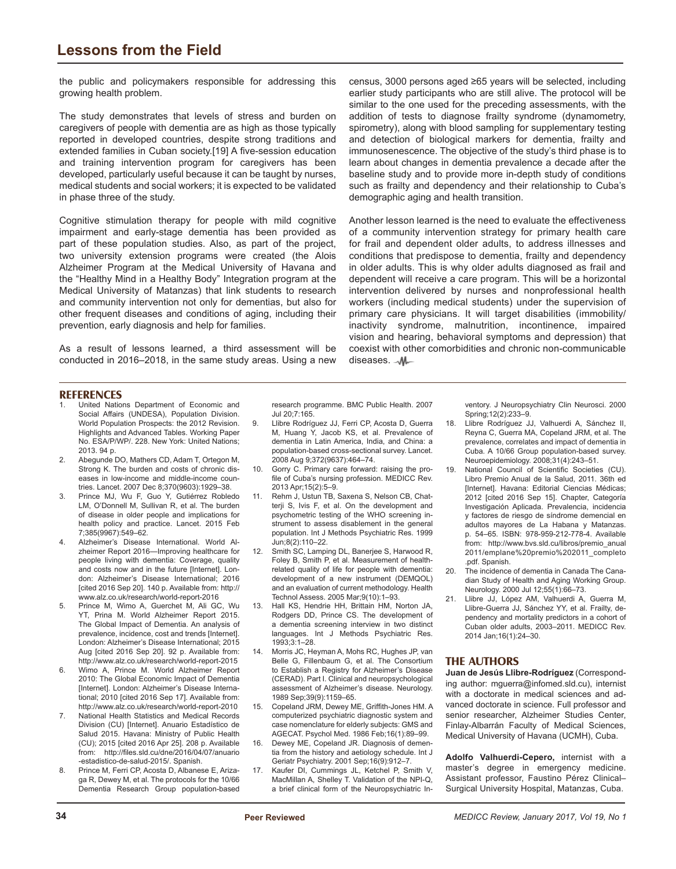### **Lessons from the Field**

the public and policymakers responsible for addressing this growing health problem.

The study demonstrates that levels of stress and burden on caregivers of people with dementia are as high as those typically reported in developed countries, despite strong traditions and extended families in Cuban society.[19] A five-session education and training intervention program for caregivers has been developed, particularly useful because it can be taught by nurses, medical students and social workers; it is expected to be validated in phase three of the study.

Cognitive stimulation therapy for people with mild cognitive impairment and early-stage dementia has been provided as part of these population studies. Also, as part of the project, two university extension programs were created (the Alois Alzheimer Program at the Medical University of Havana and the "Healthy Mind in a Healthy Body" Integration program at the Medical University of Matanzas) that link students to research and community intervention not only for dementias, but also for other frequent diseases and conditions of aging, including their prevention, early diagnosis and help for families.

As a result of lessons learned, a third assessment will be conducted in 2016–2018, in the same study areas. Using a new census, 3000 persons aged ≥65 years will be selected, including earlier study participants who are still alive. The protocol will be similar to the one used for the preceding assessments, with the addition of tests to diagnose frailty syndrome (dynamometry, spirometry), along with blood sampling for supplementary testing and detection of biological markers for dementia, frailty and immunosenescence. The objective of the study's third phase is to learn about changes in dementia prevalence a decade after the baseline study and to provide more in-depth study of conditions such as frailty and dependency and their relationship to Cuba's demographic aging and health transition.

Another lesson learned is the need to evaluate the effectiveness of a community intervention strategy for primary health care for frail and dependent older adults, to address illnesses and conditions that predispose to dementia, frailty and dependency in older adults. This is why older adults diagnosed as frail and dependent will receive a care program. This will be a horizontal intervention delivered by nurses and nonprofessional health workers (including medical students) under the supervision of primary care physicians. It will target disabilities (immobility/ inactivity syndrome, malnutrition, incontinence, impaired vision and hearing, behavioral symptoms and depression) that coexist with other comorbidities and chronic non-communicable diseases. \_ M\_

#### **REFERENCES**

- United Nations Department of Economic and Social Affairs (UNDESA), Population Division. World Population Prospects: the 2012 Revision. Highlights and Advanced Tables. Working Paper No. ESA/P/WP/. 228. New York: United Nations; 2013. 94 p.
- 2. Abegunde DO, Mathers CD, Adam T, Ortegon M, Strong K. The burden and costs of chronic diseases in low-income and middle-income countries. Lancet. 2007 Dec 8;370(9603):1929–38.
- 3. Prince MJ, Wu F, Guo Y, Gutiérrez Robledo LM, O'Donnell M, Sullivan R, et al. The burden of disease in older people and implications for health policy and practice. Lancet. 2015 Feb 7;385(9967):549–62.
- 4. Alzheimer's Disease International. World Alzheimer Report 2016—Improving healthcare for people living with dementia: Coverage, quality and costs now and in the future [Internet]. London: Alzheimer's Disease International; 2016 [cited 2016 Sep 20]. 140 p. Available from: http:// www.alz.co.uk/research/world-report-2016
- 5. Prince M, Wimo A, Guerchet M, Ali GC, Wu YT, Prina M. World Alzheimer Report 2015. The Global Impact of Dementia. An analysis of prevalence, incidence, cost and trends [Internet]. London: Alzheimer's Disease International; 2015 Aug [cited 2016 Sep 20]. 92 p. Available from: http://www.alz.co.uk/research/world-report-2015
- 6. Wimo A, Prince M. World Alzheimer Report 2010: The Global Economic Impact of Dementia [Internet]. London: Alzheimer's Disease International; 2010 [cited 2016 Sep 17]. Available from: http://www.alz.co.uk/research/world-report-2010
- 7. National Health Statistics and Medical Records Division (CU) [Internet]. Anuario Estadístico de Salud 2015. Havana: Ministry of Public Health (CU); 2015 [cited 2016 Apr 25]. 208 p. Available from: http://files.sld.cu/dne/2016/04/07/anuario -estadistico-de-salud-2015/. Spanish.
- 8. Prince M, Ferri CP, Acosta D, Albanese E, Arizaga R, Dewey M, et al. The protocols for the 10/66 Dementia Research Group population-based

research programme. BMC Public Health. 2007 Jul 20;7:165.

- 9. Llibre Rodríguez JJ, Ferri CP, Acosta D, Guerra M, Huang Y, Jacob KS, et al. Prevalence of dementia in Latin America, India, and China: a population-based cross-sectional survey. Lancet. 2008 Aug 9;372(9637):464–74.
- 10. Gorry C. Primary care forward: raising the profile of Cuba's nursing profession. MEDICC Rev. 2013 Apr;15(2):5–9.
- 11. Rehm J, Ustun TB, Saxena S, Nelson CB, Chatterji S, Ivis F, et al. On the development and psychometric testing of the WHO screening instrument to assess disablement in the general population. Int J Methods Psychiatric Res. 1999 Jun;8(2):110–22.
- 12. Smith SC, Lamping DL, Banerjee S, Harwood R, Foley B, Smith P, et al. Measurement of healthrelated quality of life for people with dementia: development of a new instrument (DEMQOL) and an evaluation of current methodology. Health Technol Assess. 2005 Mar;9(10):1–93.
- 13. Hall KS, Hendrie HH, Brittain HM, Norton JA, Rodgers DD, Prince CS. The development of a dementia screening interview in two distinct languages. Int J Methods Psychiatric Res. 1993;3:1–28.
- Morris JC, Heyman A, Mohs RC, Hughes JP, van Belle G, Fillenbaum G, et al. The Consortium to Establish a Registry for Alzheimer's Disease (CERAD). Part I. Clinical and neuropsychological assessment of Alzheimer's disease. Neurology. 1989 Sep;39(9):1159–65.
- 15. Copeland JRM, Dewey ME, Griffith-Jones HM. A computerized psychiatric diagnostic system and case nomenclature for elderly subjects: GMS and AGECAT. Psychol Med. 1986 Feb;16(1):89–99.
- 16. Dewey ME, Copeland JR. Diagnosis of dementia from the history and aetiology schedule. Int J Geriatr Psychiatry. 2001 Sep;16(9):912–7.
- 17. Kaufer DI, Cummings JL, Ketchel P, Smith V, MacMillan A, Shelley T. Validation of the NPI-Q, a brief clinical form of the Neuropsychiatric In-

ventory. J Neuropsychiatry Clin Neurosci. 2000 Spring;12(2):233–9.

- 18. Llibre Rodríguez JJ, Valhuerdi A, Sánchez II, Reyna C, Guerra MA, Copeland JRM, et al. The prevalence, correlates and impact of dementia in Cuba. A 10/66 Group population-based survey. Neuroepidemiology. 2008;31(4):243–51.
- 19. National Council of Scientific Societies (CU). Libro Premio Anual de la Salud, 2011. 36th ed [Internet]. Havana: Editorial Ciencias Médicas; 2012 [cited 2016 Sep 15]. Chapter, Categoría Investigación Aplicada. Prevalencia, incidencia y factores de riesgo de síndrome demencial en adultos mayores de La Habana y Matanzas. p. 54–65. ISBN: 978-959-212-778-4. Available from: http://www.bvs.sld.cu/libros/premio\_anual 2011/emplane%20premio%202011\_completo .pdf. Spanish.
- 20. The incidence of dementia in Canada The Canadian Study of Health and Aging Working Group. Neurology. 2000 Jul 12;55(1):66–73.
- 21. Llibre JJ, López AM, Valhuerdi A, Guerra M, Llibre-Guerra JJ, Sánchez YY, et al. Frailty, dependency and mortality predictors in a cohort of Cuban older adults, 2003–2011. MEDICC Rev. 2014 Jan;16(1):24–30.

#### **THE AUTHORS**

**Juan de Jesús Llibre-Rodríguez** (Corresponding author: mguerra@infomed.sld.cu), internist with a doctorate in medical sciences and advanced doctorate in science. Full professor and senior researcher, Alzheimer Studies Center, Finlay-Albarrán Faculty of Medical Sciences, Medical University of Havana (UCMH), Cuba.

**Adolfo Valhuerdi-Cepero,** internist with a master's degree in emergency medicine. Assistant professor, Faustino Pérez Clinical– Surgical University Hospital, Matanzas, Cuba.